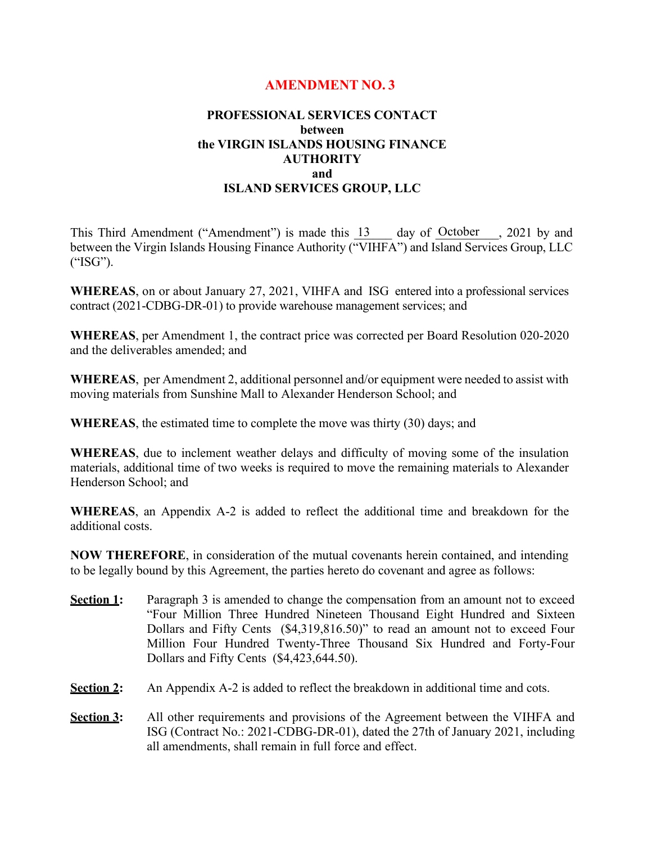# **AMENDMENT NO. 3**

## **PROFESSIONAL SERVICES CONTACT between the VIRGIN ISLANDS HOUSING FINANCE AUTHORITY and ISLAND SERVICES GROUP, LLC**

This Third Amendment ("Amendment") is made this  $\frac{13}{13}$  day of October , 2021 by and between the Virgin Islands Housing Finance Authority ("VIHFA") and Island Services Group, LLC ("ISG").

**WHEREAS**, on or about January 27, 2021, VIHFA and ISG entered into a professional services contract (2021-CDBG-DR-01) to provide warehouse management services; and

**WHEREAS**, per Amendment 1, the contract price was corrected per Board Resolution 020-2020 and the deliverables amended; and

**WHEREAS**, per Amendment 2, additional personnel and/or equipment were needed to assist with moving materials from Sunshine Mall to Alexander Henderson School; and

**WHEREAS**, the estimated time to complete the move was thirty (30) days; and

**WHEREAS**, due to inclement weather delays and difficulty of moving some of the insulation materials, additional time of two weeks is required to move the remaining materials to Alexander Henderson School; and

**WHEREAS**, an Appendix A-2 is added to reflect the additional time and breakdown for the additional costs.

**NOW THEREFORE**, in consideration of the mutual covenants herein contained, and intending to be legally bound by this Agreement, the parties hereto do covenant and agree as follows:

- **Section 1:** Paragraph 3 is amended to change the compensation from an amount not to exceed "Four Million Three Hundred Nineteen Thousand Eight Hundred and Sixteen Dollars and Fifty Cents (\$4,319,816.50)" to read an amount not to exceed Four Million Four Hundred Twenty-Three Thousand Six Hundred and Forty-Four Dollars and Fifty Cents (\$4,423,644.50).
- **Section 2:** An Appendix A-2 is added to reflect the breakdown in additional time and cots.
- **Section 3:** All other requirements and provisions of the Agreement between the VIHFA and ISG (Contract No.: 2021-CDBG-DR-01), dated the 27th of January 2021, including all amendments, shall remain in full force and effect.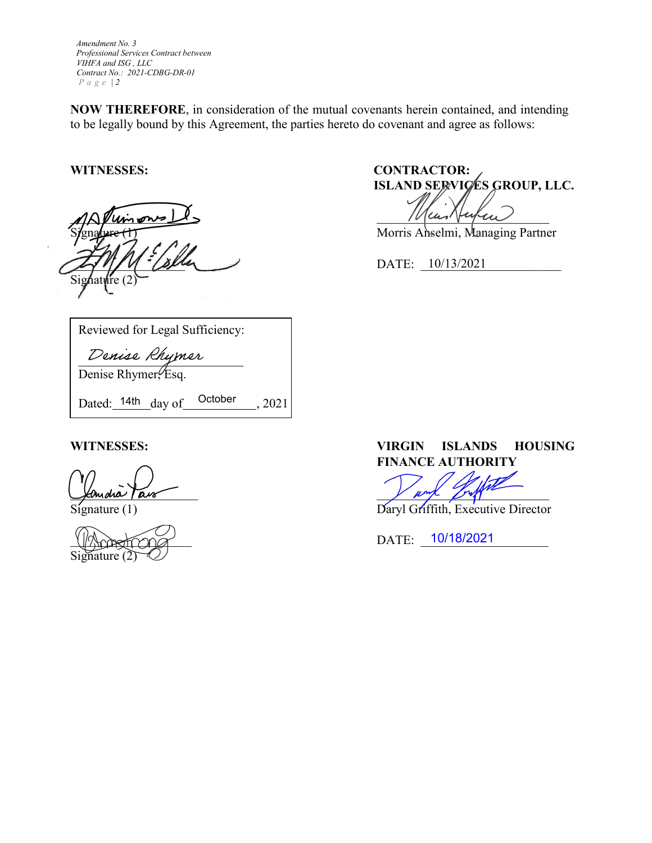*Amendment No. 3 Professional Services Contract between VIHFA and ISG , LLC Contract No.: 2021-CDBG-DR-01 Page | 2* 

**NOW THEREFORE**, in consideration of the mutual covenants herein contained, and intending to be legally bound by this Agreement, the parties hereto do covenant and agree as follows:

 $M\Lambda$  Puinons  $\Delta$ \_\_\_\_\_\_\_\_\_\_\_\_\_\_\_\_\_\_ DATE: \_\_\_\_\_\_\_\_\_\_\_\_\_\_\_\_\_\_\_\_\_\_ 10/13/2021 Signature  $(2)$ 

**WITNESSES: CONTRACTOR: ISLAND SERVICES GROUP, LLC.** 

Morris Anselmi, Managing Partner

Reviewed for Legal Sufficiency:

Denise Rhymer

Denise Rhymer, Esq.

Dated:  $14th$  day of  $October$ , 2021

Signature (2)

**WITNESSES: VIRGIN ISLANDS HOUSING FINANCE AUTHORITY**

Jerudia Pais

Signature (1) Daryl Griffith, Executive Director

 $\frac{10}{182021}$  DATE:  $\frac{10}{182021}$